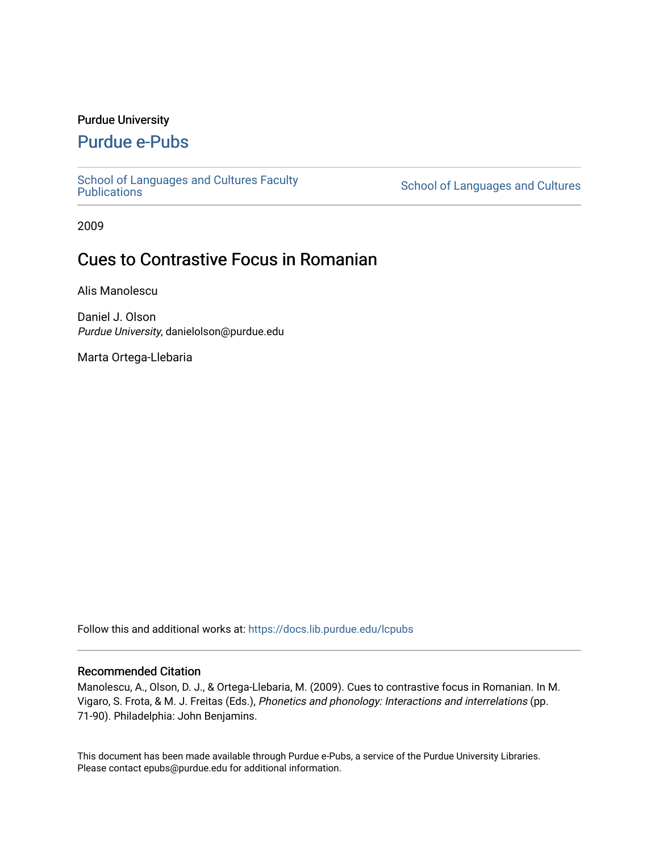## Purdue University

# [Purdue e-Pubs](https://docs.lib.purdue.edu/)

[School of Languages and Cultures Faculty](https://docs.lib.purdue.edu/lcpubs)<br>Publications

School of Languages and Cultures

2009

# Cues to Contrastive Focus in Romanian

Alis Manolescu

Daniel J. Olson Purdue University, danielolson@purdue.edu

Marta Ortega-Llebaria

Follow this and additional works at: [https://docs.lib.purdue.edu/lcpubs](https://docs.lib.purdue.edu/lcpubs?utm_source=docs.lib.purdue.edu%2Flcpubs%2F14&utm_medium=PDF&utm_campaign=PDFCoverPages)

### Recommended Citation

Manolescu, A., Olson, D. J., & Ortega-Llebaria, M. (2009). Cues to contrastive focus in Romanian. In M. Vigaro, S. Frota, & M. J. Freitas (Eds.), Phonetics and phonology: Interactions and interrelations (pp. 71-90). Philadelphia: John Benjamins.

This document has been made available through Purdue e-Pubs, a service of the Purdue University Libraries. Please contact epubs@purdue.edu for additional information.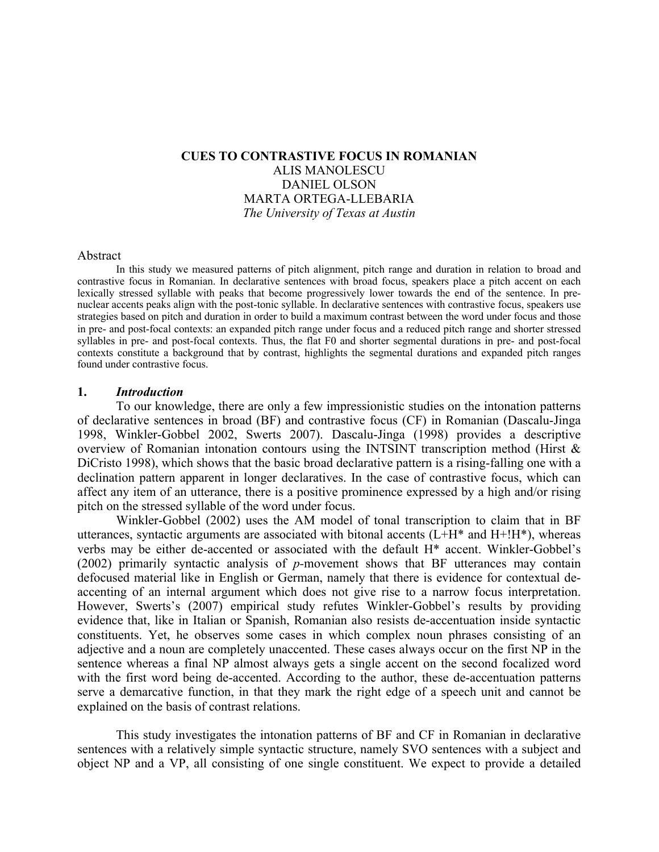# **CUES TO CONTRASTIVE FOCUS IN ROMANIAN** ALIS MANOLESCU DANIEL OLSON MARTA ORTEGA-LLEBARIA *The University of Texas at Austin*

#### Abstract

In this study we measured patterns of pitch alignment, pitch range and duration in relation to broad and contrastive focus in Romanian. In declarative sentences with broad focus, speakers place a pitch accent on each lexically stressed syllable with peaks that become progressively lower towards the end of the sentence. In prenuclear accents peaks align with the post-tonic syllable. In declarative sentences with contrastive focus, speakers use strategies based on pitch and duration in order to build a maximum contrast between the word under focus and those in pre- and post-focal contexts: an expanded pitch range under focus and a reduced pitch range and shorter stressed syllables in pre- and post-focal contexts. Thus, the flat F0 and shorter segmental durations in pre- and post-focal contexts constitute a background that by contrast, highlights the segmental durations and expanded pitch ranges found under contrastive focus.

#### **1.** *Introduction*

To our knowledge, there are only a few impressionistic studies on the intonation patterns of declarative sentences in broad (BF) and contrastive focus (CF) in Romanian (Dascalu-Jinga 1998, Winkler-Gobbel 2002, Swerts 2007). Dascalu-Jinga (1998) provides a descriptive overview of Romanian intonation contours using the INTSINT transcription method (Hirst & DiCristo 1998), which shows that the basic broad declarative pattern is a rising-falling one with a declination pattern apparent in longer declaratives. In the case of contrastive focus, which can affect any item of an utterance, there is a positive prominence expressed by a high and/or rising pitch on the stressed syllable of the word under focus.

Winkler-Gobbel (2002) uses the AM model of tonal transcription to claim that in BF utterances, syntactic arguments are associated with bitonal accents  $(L+H^*)$  and  $H^{\dagger}H^*$ ), whereas verbs may be either de-accented or associated with the default H\* accent. Winkler-Gobbel's (2002) primarily syntactic analysis of *p-*movement shows that BF utterances may contain defocused material like in English or German, namely that there is evidence for contextual deaccenting of an internal argument which does not give rise to a narrow focus interpretation. However, Swerts's (2007) empirical study refutes Winkler-Gobbel's results by providing evidence that, like in Italian or Spanish, Romanian also resists de-accentuation inside syntactic constituents. Yet, he observes some cases in which complex noun phrases consisting of an adjective and a noun are completely unaccented. These cases always occur on the first NP in the sentence whereas a final NP almost always gets a single accent on the second focalized word with the first word being de-accented. According to the author, these de-accentuation patterns serve a demarcative function, in that they mark the right edge of a speech unit and cannot be explained on the basis of contrast relations.

This study investigates the intonation patterns of BF and CF in Romanian in declarative sentences with a relatively simple syntactic structure, namely SVO sentences with a subject and object NP and a VP, all consisting of one single constituent. We expect to provide a detailed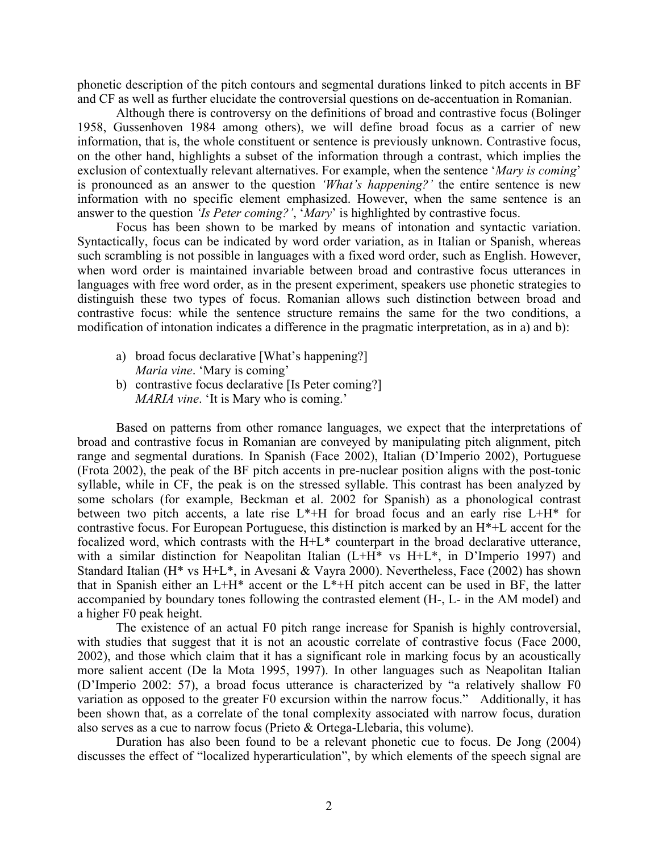phonetic description of the pitch contours and segmental durations linked to pitch accents in BF and CF as well as further elucidate the controversial questions on de-accentuation in Romanian.

Although there is controversy on the definitions of broad and contrastive focus (Bolinger 1958, Gussenhoven 1984 among others), we will define broad focus as a carrier of new information, that is, the whole constituent or sentence is previously unknown. Contrastive focus, on the other hand, highlights a subset of the information through a contrast, which implies the exclusion of contextually relevant alternatives. For example, when the sentence '*Mary is coming*' is pronounced as an answer to the question *'What's happening?'* the entire sentence is new information with no specific element emphasized. However, when the same sentence is an answer to the question *'Is Peter coming?'*, '*Mary*' is highlighted by contrastive focus.

Focus has been shown to be marked by means of intonation and syntactic variation. Syntactically, focus can be indicated by word order variation, as in Italian or Spanish, whereas such scrambling is not possible in languages with a fixed word order, such as English. However, when word order is maintained invariable between broad and contrastive focus utterances in languages with free word order, as in the present experiment, speakers use phonetic strategies to distinguish these two types of focus. Romanian allows such distinction between broad and contrastive focus: while the sentence structure remains the same for the two conditions, a modification of intonation indicates a difference in the pragmatic interpretation, as in a) and b):

- a) broad focus declarative [What's happening?] *Maria vine*. 'Mary is coming'
- b) contrastive focus declarative [Is Peter coming?] *MARIA vine*. 'It is Mary who is coming.'

Based on patterns from other romance languages, we expect that the interpretations of broad and contrastive focus in Romanian are conveyed by manipulating pitch alignment, pitch range and segmental durations. In Spanish (Face 2002), Italian (D'Imperio 2002), Portuguese (Frota 2002), the peak of the BF pitch accents in pre-nuclear position aligns with the post-tonic syllable, while in CF, the peak is on the stressed syllable. This contrast has been analyzed by some scholars (for example, Beckman et al. 2002 for Spanish) as a phonological contrast between two pitch accents, a late rise L\*+H for broad focus and an early rise L+H\* for contrastive focus. For European Portuguese, this distinction is marked by an H\*+L accent for the focalized word, which contrasts with the H+L\* counterpart in the broad declarative utterance, with a similar distinction for Neapolitan Italian (L+H\* vs H+L\*, in D'Imperio 1997) and Standard Italian (H\* vs H+L\*, in Avesani & Vayra 2000). Nevertheless, Face (2002) has shown that in Spanish either an  $L+H^*$  accent or the  $L^*+H$  pitch accent can be used in BF, the latter accompanied by boundary tones following the contrasted element (H-, L- in the AM model) and a higher F0 peak height.

The existence of an actual F0 pitch range increase for Spanish is highly controversial, with studies that suggest that it is not an acoustic correlate of contrastive focus (Face 2000, 2002), and those which claim that it has a significant role in marking focus by an acoustically more salient accent (De la Mota 1995, 1997). In other languages such as Neapolitan Italian (D'Imperio 2002: 57), a broad focus utterance is characterized by "a relatively shallow F0 variation as opposed to the greater F0 excursion within the narrow focus." Additionally, it has been shown that, as a correlate of the tonal complexity associated with narrow focus, duration also serves as a cue to narrow focus (Prieto & Ortega-Llebaria, this volume).

Duration has also been found to be a relevant phonetic cue to focus. De Jong (2004) discusses the effect of "localized hyperarticulation", by which elements of the speech signal are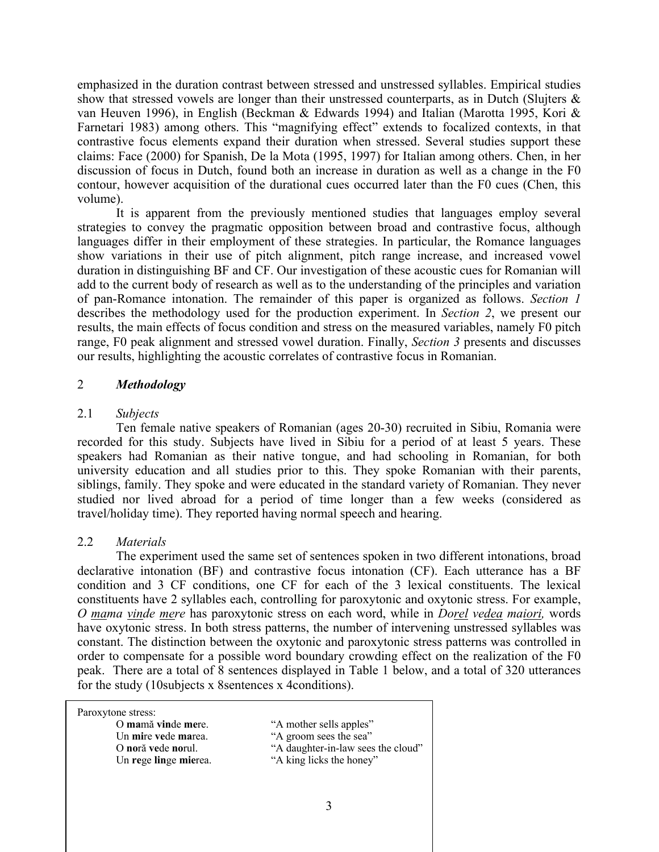emphasized in the duration contrast between stressed and unstressed syllables. Empirical studies show that stressed vowels are longer than their unstressed counterparts, as in Dutch (Slujters  $\&$ van Heuven 1996), in English (Beckman & Edwards 1994) and Italian (Marotta 1995, Kori & Farnetari 1983) among others. This "magnifying effect" extends to focalized contexts, in that contrastive focus elements expand their duration when stressed. Several studies support these claims: Face (2000) for Spanish, De la Mota (1995, 1997) for Italian among others. Chen, in her discussion of focus in Dutch, found both an increase in duration as well as a change in the F0 contour, however acquisition of the durational cues occurred later than the F0 cues (Chen, this volume).

It is apparent from the previously mentioned studies that languages employ several strategies to convey the pragmatic opposition between broad and contrastive focus, although languages differ in their employment of these strategies. In particular, the Romance languages show variations in their use of pitch alignment, pitch range increase, and increased vowel duration in distinguishing BF and CF. Our investigation of these acoustic cues for Romanian will add to the current body of research as well as to the understanding of the principles and variation of pan-Romance intonation. The remainder of this paper is organized as follows. *Section 1* describes the methodology used for the production experiment. In *Section 2*, we present our results, the main effects of focus condition and stress on the measured variables, namely F0 pitch range, F0 peak alignment and stressed vowel duration. Finally, *Section 3* presents and discusses our results, highlighting the acoustic correlates of contrastive focus in Romanian.

## 2 *Methodology*

## 2.1 *Subjects*

Ten female native speakers of Romanian (ages 20-30) recruited in Sibiu, Romania were recorded for this study. Subjects have lived in Sibiu for a period of at least 5 years. These speakers had Romanian as their native tongue, and had schooling in Romanian, for both university education and all studies prior to this. They spoke Romanian with their parents, siblings, family. They spoke and were educated in the standard variety of Romanian. They never studied nor lived abroad for a period of time longer than a few weeks (considered as travel/holiday time). They reported having normal speech and hearing.

# 2.2 *Materials*

The experiment used the same set of sentences spoken in two different intonations, broad declarative intonation (BF) and contrastive focus intonation (CF). Each utterance has a BF condition and 3 CF conditions, one CF for each of the 3 lexical constituents. The lexical constituents have 2 syllables each, controlling for paroxytonic and oxytonic stress. For example, *O mama vinde mere* has paroxytonic stress on each word, while in *Dorel vedea maiori,* words have oxytonic stress. In both stress patterns, the number of intervening unstressed syllables was constant. The distinction between the oxytonic and paroxytonic stress patterns was controlled in order to compensate for a possible word boundary crowding effect on the realization of the F0 peak. There are a total of 8 sentences displayed in Table 1 below, and a total of 320 utterances for the study (10subjects x 8sentences x 4conditions).

Paroxytone stress:

Un **mire vede marea.** "A groom sees the sea" Un **rege linge mierea.** "A king licks the honey"

O **ma**mă **vin**de **me**re. "A mother sells apples"

- 
- O **no**ră **ve**de **no**rul. "A daughter-in-law sees the cloud"
	-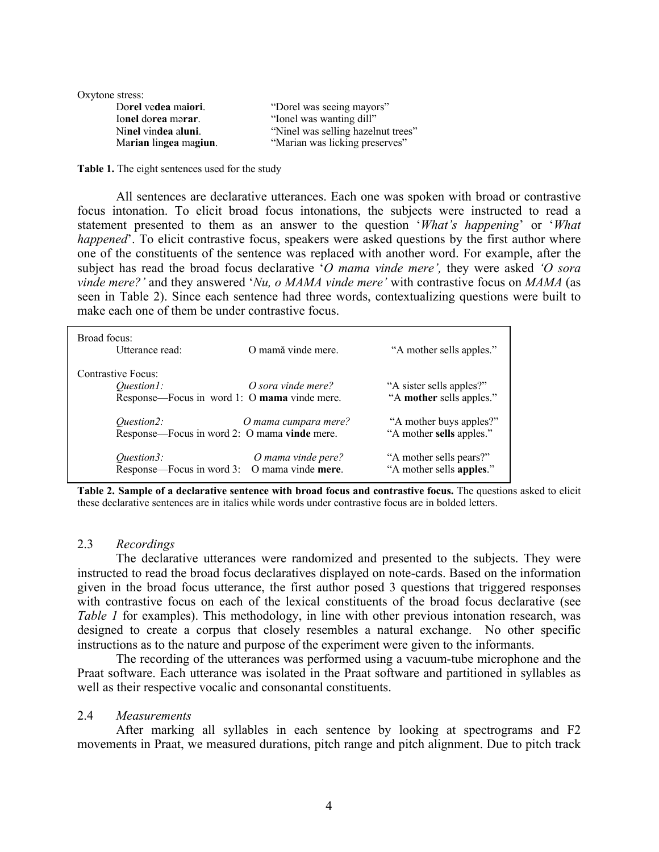| Oxytone stress:       |                                    |  |
|-----------------------|------------------------------------|--|
| Dorel vedea maiori.   | "Dorel was seeing mayors"          |  |
| Ionel dorea marar.    | "Ionel was wanting dill"           |  |
| Ninel vindea aluni.   | "Ninel was selling hazelnut trees" |  |
| Marian lingea magiun. | "Marian was licking preserves"     |  |
|                       |                                    |  |

**Table 1.** The eight sentences used for the study

All sentences are declarative utterances. Each one was spoken with broad or contrastive focus intonation. To elicit broad focus intonations, the subjects were instructed to read a statement presented to them as an answer to the question '*What's happening*' or '*What happened*'. To elicit contrastive focus, speakers were asked questions by the first author where one of the constituents of the sentence was replaced with another word. For example, after the subject has read the broad focus declarative '*O mama vinde mere',* they were asked *'O sora vinde mere?'* and they answered '*Nu, o MAMA vinde mere'* with contrastive focus on *MAMA* (as seen in Table 2). Since each sentence had three words, contextualizing questions were built to make each one of them be under contrastive focus.

| Broad focus:<br>Utterance read:                                                         | O mamă vinde mere.   | "A mother sells apples."                             |
|-----------------------------------------------------------------------------------------|----------------------|------------------------------------------------------|
| Contrastive Focus:<br><i>Ouestion1:</i><br>Response—Focus in word 1: O mama vinde mere. | O sora vinde mere?   | "A sister sells apples?"<br>"A mother sells apples." |
| <i><u>Ouestion2:</u></i><br>Response—Focus in word 2: O mama vinde mere.                | O mama cumpara mere? | "A mother buys apples?"<br>"A mother sells apples."  |
| Question3:<br>Response—Focus in word 3: O mama vinde mere.                              | O mama vinde pere?   | "A mother sells pears?"<br>"A mother sells apples."  |

**Table 2. Sample of a declarative sentence with broad focus and contrastive focus.** The questions asked to elicit these declarative sentences are in italics while words under contrastive focus are in bolded letters.

## 2.3 *Recordings*

The declarative utterances were randomized and presented to the subjects. They were instructed to read the broad focus declaratives displayed on note-cards. Based on the information given in the broad focus utterance, the first author posed 3 questions that triggered responses with contrastive focus on each of the lexical constituents of the broad focus declarative (see *Table 1* for examples). This methodology, in line with other previous intonation research, was designed to create a corpus that closely resembles a natural exchange. No other specific instructions as to the nature and purpose of the experiment were given to the informants.

The recording of the utterances was performed using a vacuum-tube microphone and the Praat software. Each utterance was isolated in the Praat software and partitioned in syllables as well as their respective vocalic and consonantal constituents.

#### 2.4 *Measurements*

After marking all syllables in each sentence by looking at spectrograms and F2 movements in Praat, we measured durations, pitch range and pitch alignment. Due to pitch track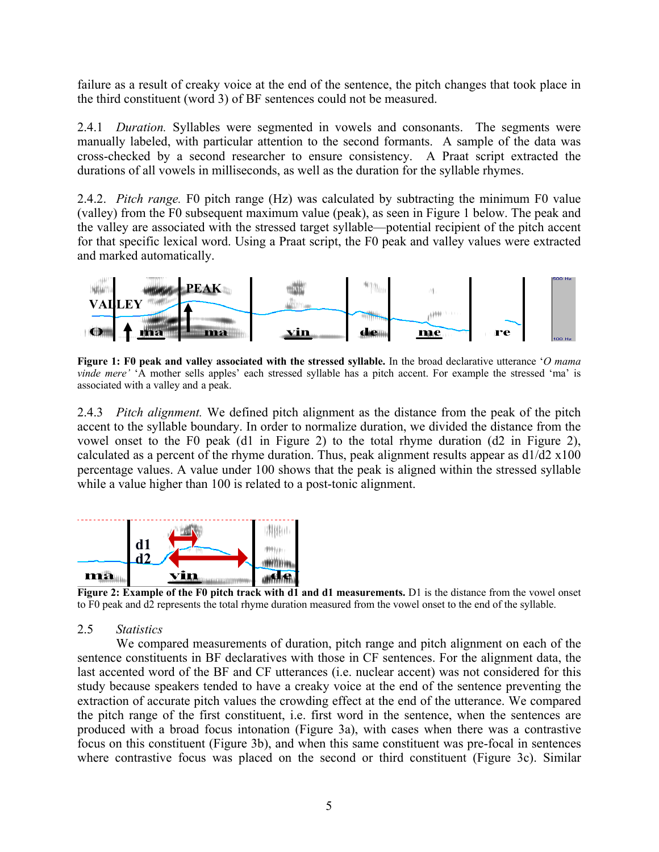failure as a result of creaky voice at the end of the sentence, the pitch changes that took place in the third constituent (word 3) of BF sentences could not be measured.

2.4.1 *Duration.* Syllables were segmented in vowels and consonants. The segments were manually labeled, with particular attention to the second formants. A sample of the data was cross-checked by a second researcher to ensure consistency. A Praat script extracted the durations of all vowels in milliseconds, as well as the duration for the syllable rhymes.

2.4.2. *Pitch range.* F0 pitch range (Hz) was calculated by subtracting the minimum F0 value (valley) from the F0 subsequent maximum value (peak), as seen in Figure 1 below. The peak and the valley are associated with the stressed target syllable—potential recipient of the pitch accent for that specific lexical word. Using a Praat script, the F0 peak and valley values were extracted and marked automatically.



**Figure 1: F0 peak and valley associated with the stressed syllable.** In the broad declarative utterance '*O mama vinde mere'* 'A mother sells apples' each stressed syllable has a pitch accent. For example the stressed 'ma' is associated with a valley and a peak.

2.4.3 *Pitch alignment.* We defined pitch alignment as the distance from the peak of the pitch accent to the syllable boundary. In order to normalize duration, we divided the distance from the vowel onset to the F0 peak (d1 in Figure 2) to the total rhyme duration (d2 in Figure 2), calculated as a percent of the rhyme duration. Thus, peak alignment results appear as  $d1/d2 \times 100$ percentage values. A value under 100 shows that the peak is aligned within the stressed syllable while a value higher than 100 is related to a post-tonic alignment.



**Figure 2: Example of the F0 pitch track with d1 and d1 measurements.** D1 is the distance from the vowel onset to F0 peak and d2 represents the total rhyme duration measured from the vowel onset to the end of the syllable.

### 2.5 *Statistics*

We compared measurements of duration, pitch range and pitch alignment on each of the sentence constituents in BF declaratives with those in CF sentences. For the alignment data, the last accented word of the BF and CF utterances (i.e. nuclear accent) was not considered for this study because speakers tended to have a creaky voice at the end of the sentence preventing the extraction of accurate pitch values the crowding effect at the end of the utterance. We compared the pitch range of the first constituent, i.e. first word in the sentence, when the sentences are produced with a broad focus intonation (Figure 3a), with cases when there was a contrastive focus on this constituent (Figure 3b), and when this same constituent was pre-focal in sentences where contrastive focus was placed on the second or third constituent (Figure 3c). Similar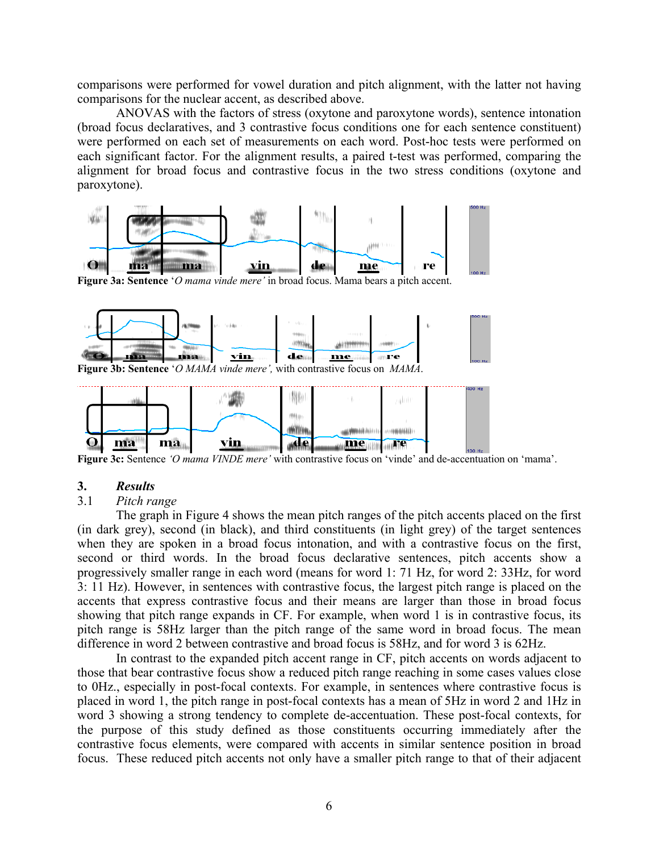comparisons were performed for vowel duration and pitch alignment, with the latter not having comparisons for the nuclear accent, as described above.

ANOVAS with the factors of stress (oxytone and paroxytone words), sentence intonation (broad focus declaratives, and 3 contrastive focus conditions one for each sentence constituent) were performed on each set of measurements on each word. Post-hoc tests were performed on each significant factor. For the alignment results, a paired t-test was performed, comparing the alignment for broad focus and contrastive focus in the two stress conditions (oxytone and paroxytone).



**Figure 3a: Sentence** '*O mama vinde mere'* in broad focus. Mama bears a pitch accent.





**Figure 3c:** Sentence *'O mama VINDE mere'* with contrastive focus on 'vinde' and de-accentuation on 'mama'.

#### **3.** *Results*

#### 3.1 *Pitch range*

The graph in Figure 4 shows the mean pitch ranges of the pitch accents placed on the first (in dark grey), second (in black), and third constituents (in light grey) of the target sentences when they are spoken in a broad focus intonation, and with a contrastive focus on the first, second or third words. In the broad focus declarative sentences, pitch accents show a progressively smaller range in each word (means for word 1: 71 Hz, for word 2: 33Hz, for word 3: 11 Hz). However, in sentences with contrastive focus, the largest pitch range is placed on the accents that express contrastive focus and their means are larger than those in broad focus showing that pitch range expands in CF. For example, when word 1 is in contrastive focus, its pitch range is 58Hz larger than the pitch range of the same word in broad focus. The mean difference in word 2 between contrastive and broad focus is 58Hz, and for word 3 is 62Hz.

In contrast to the expanded pitch accent range in CF, pitch accents on words adjacent to those that bear contrastive focus show a reduced pitch range reaching in some cases values close to 0Hz., especially in post-focal contexts. For example, in sentences where contrastive focus is placed in word 1, the pitch range in post-focal contexts has a mean of 5Hz in word 2 and 1Hz in word 3 showing a strong tendency to complete de-accentuation. These post-focal contexts, for the purpose of this study defined as those constituents occurring immediately after the contrastive focus elements, were compared with accents in similar sentence position in broad focus. These reduced pitch accents not only have a smaller pitch range to that of their adjacent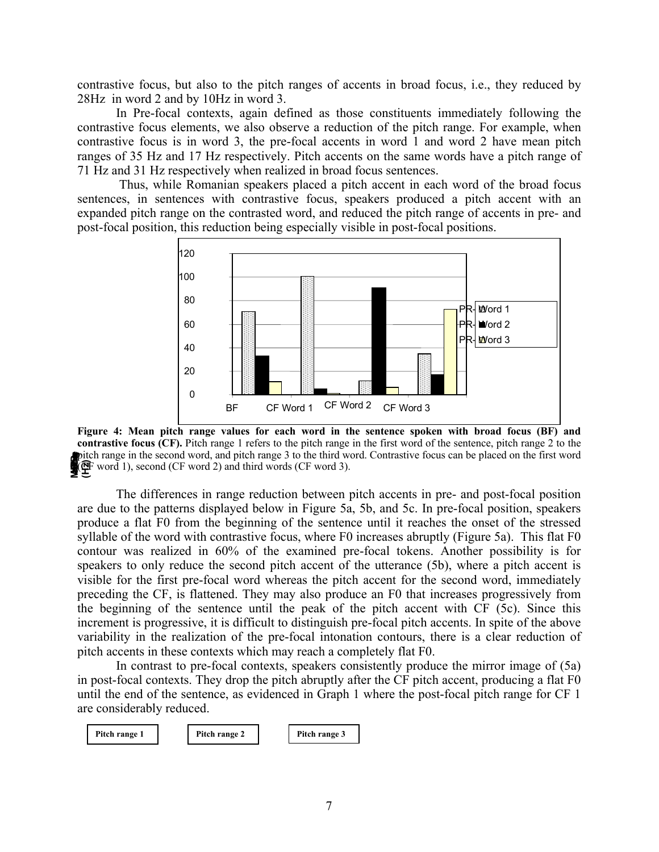contrastive focus, but also to the pitch ranges of accents in broad focus, i.e., they reduced by 28Hz in word 2 and by 10Hz in word 3.

In Pre-focal contexts, again defined as those constituents immediately following the contrastive focus elements, we also observe a reduction of the pitch range. For example, when contrastive focus is in word 3, the pre-focal accents in word 1 and word 2 have mean pitch ranges of 35 Hz and 17 Hz respectively. Pitch accents on the same words have a pitch range of 71 Hz and 31 Hz respectively when realized in broad focus sentences.

Thus, while Romanian speakers placed a pitch accent in each word of the broad focus sentences, in sentences with contrastive focus, speakers produced a pitch accent with an expanded pitch range on the contrasted word, and reduced the pitch range of accents in pre- and post-focal position, this reduction being especially visible in post-focal positions.



**Figure 4: Mean pitch range values for each word in the sentence spoken with broad focus (BF) and contrastive focus (CF).** Pitch range 1 refers to the pitch range in the first word of the sentence, pitch range 2 to the pitch range in the second word, and pitch range 3 to the third word. Contrastive focus can be placed on the first word poitch range in the second word, and pitch range 3 to the third w<br> **Mean FO** word 1), second (CF word 2) and third words (CF word 3).

The differences in range reduction between pitch accents in pre- and post-focal position are due to the patterns displayed below in Figure 5a, 5b, and 5c. In pre-focal position, speakers produce a flat F0 from the beginning of the sentence until it reaches the onset of the stressed syllable of the word with contrastive focus, where F0 increases abruptly (Figure 5a). This flat F0 contour was realized in 60% of the examined pre-focal tokens. Another possibility is for speakers to only reduce the second pitch accent of the utterance (5b), where a pitch accent is visible for the first pre-focal word whereas the pitch accent for the second word, immediately preceding the CF, is flattened. They may also produce an F0 that increases progressively from the beginning of the sentence until the peak of the pitch accent with CF (5c). Since this increment is progressive, it is difficult to distinguish pre-focal pitch accents. In spite of the above variability in the realization of the pre-focal intonation contours, there is a clear reduction of pitch accents in these contexts which may reach a completely flat F0.

In contrast to pre-focal contexts, speakers consistently produce the mirror image of (5a) in post-focal contexts. They drop the pitch abruptly after the CF pitch accent, producing a flat F0 until the end of the sentence, as evidenced in Graph 1 where the post-focal pitch range for CF 1 are considerably reduced.

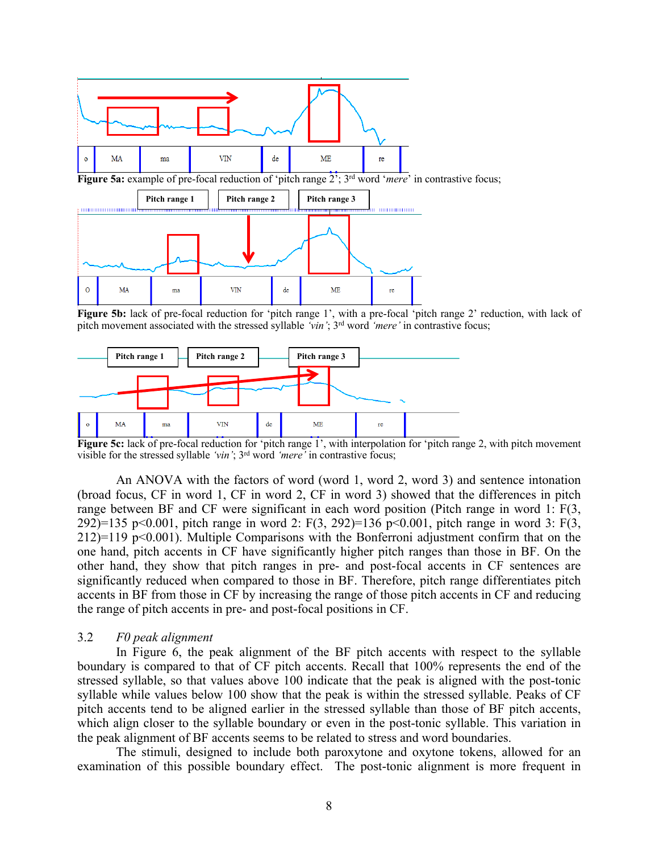

**Figure 5b:** lack of pre-focal reduction for 'pitch range 1', with a pre-focal 'pitch range 2' reduction, with lack of pitch movement associated with the stressed syllable *'vin'*; 3rd word *'mere'* in contrastive focus;



Figure 5c: lack of pre-focal reduction for 'pitch range 1', with interpolation for 'pitch range 2, with pitch movement visible for the stressed syllable *'vin'*; 3rd word *'mere'* in contrastive focus;

An ANOVA with the factors of word (word 1, word 2, word 3) and sentence intonation (broad focus, CF in word 1, CF in word 2, CF in word 3) showed that the differences in pitch range between BF and CF were significant in each word position (Pitch range in word 1: F(3, 292)=135 p<0.001, pitch range in word 2: F(3, 292)=136 p<0.001, pitch range in word 3: F(3,  $212$ =119 p<0.001). Multiple Comparisons with the Bonferroni adjustment confirm that on the one hand, pitch accents in CF have significantly higher pitch ranges than those in BF. On the other hand, they show that pitch ranges in pre- and post-focal accents in CF sentences are significantly reduced when compared to those in BF. Therefore, pitch range differentiates pitch accents in BF from those in CF by increasing the range of those pitch accents in CF and reducing the range of pitch accents in pre- and post-focal positions in CF.

#### 3.2 *F0 peak alignment*

In Figure 6, the peak alignment of the BF pitch accents with respect to the syllable boundary is compared to that of CF pitch accents. Recall that 100% represents the end of the stressed syllable, so that values above 100 indicate that the peak is aligned with the post-tonic syllable while values below 100 show that the peak is within the stressed syllable. Peaks of CF pitch accents tend to be aligned earlier in the stressed syllable than those of BF pitch accents, which align closer to the syllable boundary or even in the post-tonic syllable. This variation in the peak alignment of BF accents seems to be related to stress and word boundaries.

The stimuli, designed to include both paroxytone and oxytone tokens, allowed for an examination of this possible boundary effect. The post-tonic alignment is more frequent in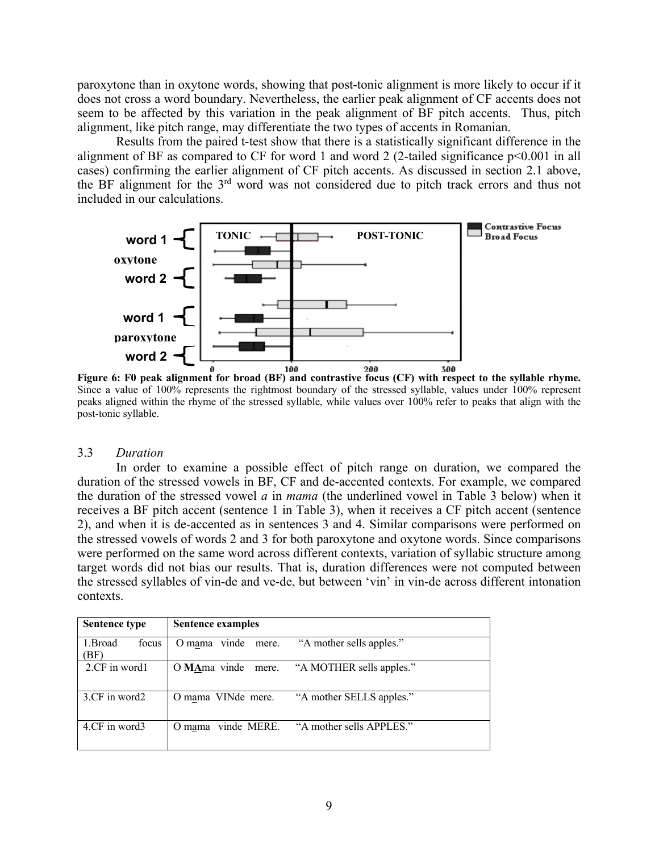paroxytone than in oxytone words, showing that post-tonic alignment is more likely to occur if it does not cross a word boundary. Nevertheless, the earlier peak alignment of CF accents does not seem to be affected by this variation in the peak alignment of BF pitch accents. Thus, pitch alignment, like pitch range, may differentiate the two types of accents in Romanian.

Results from the paired t-test show that there is a statistically significant difference in the alignment of BF as compared to CF for word 1 and word 2 (2-tailed significance  $p<0.001$  in all cases) confirming the earlier alignment of CF pitch accents. As discussed in section 2.1 above, the BF alignment for the 3rd word was not considered due to pitch track errors and thus not included in our calculations.



**Figure 6: F0 peak alignment for broad (BF)** and contrastive focus (CF) with respect to the syllable rhyme. Since a value of 100% represents the rightmost boundary of the stressed syllable, values under 100% represent peaks aligned within the rhyme of the stressed syllable, while values over 100% refer to peaks that align with the post-tonic syllable.

### 3.3 *Duration*

In order to examine a possible effect of pitch range on duration, we compared the duration of the stressed vowels in BF, CF and de-accented contexts. For example, we compared the duration of the stressed vowel *a* in *mama* (the underlined vowel in Table 3 below) when it receives a BF pitch accent (sentence 1 in Table 3), when it receives a CF pitch accent (sentence 2), and when it is de-accented as in sentences 3 and 4. Similar comparisons were performed on the stressed vowels of words 2 and 3 for both paroxytone and oxytone words. Since comparisons were performed on the same word across different contexts, variation of syllabic structure among target words did not bias our results. That is, duration differences were not computed between the stressed syllables of vin-de and ve-de, but between 'vin' in vin-de across different intonation contexts.

| <b>Sentence type</b>    | Sentence examples     |                                             |
|-------------------------|-----------------------|---------------------------------------------|
| 1.Broad<br>focus<br>BF) | O mama vinde<br>mere. | "A mother sells apples."                    |
| 2.CF in word1           |                       | O MAma vinde mere. "A MOTHER sells apples." |
| 3.CF in word2           | O mama VINde mere.    | "A mother SELLS apples."                    |
| 4.CF in word3           | O mama vinde MERE.    | "A mother sells APPLES."                    |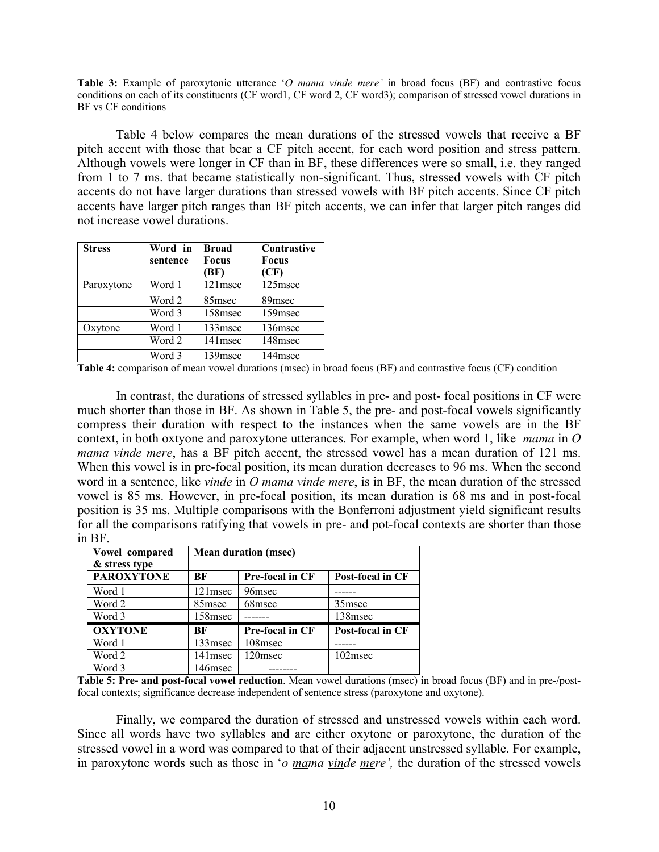**Table 3:** Example of paroxytonic utterance '*O mama vinde mere'* in broad focus (BF) and contrastive focus conditions on each of its constituents (CF word1, CF word 2, CF word3); comparison of stressed vowel durations in BF vs CF conditions

Table 4 below compares the mean durations of the stressed vowels that receive a BF pitch accent with those that bear a CF pitch accent, for each word position and stress pattern. Although vowels were longer in CF than in BF, these differences were so small, i.e. they ranged from 1 to 7 ms. that became statistically non-significant. Thus, stressed vowels with CF pitch accents do not have larger durations than stressed vowels with BF pitch accents. Since CF pitch accents have larger pitch ranges than BF pitch accents, we can infer that larger pitch ranges did not increase vowel durations.

| <b>Stress</b> | Word in<br>sentence | <b>Broad</b><br><b>Focus</b><br>(BF) | Contrastive<br><b>Focus</b><br>(CF) |
|---------------|---------------------|--------------------------------------|-------------------------------------|
| Paroxytone    | Word 1              | 121msec                              | 125msec                             |
|               | Word 2              | 85msec                               | 89 <sub>msec</sub>                  |
|               | Word 3              | 158msec                              | 159 <sub>msec</sub>                 |
| Oxytone       | Word 1              | 133msec                              | 136msec                             |
|               | Word 2              | 141msec                              | 148msec                             |
|               | Word 3              | 139 <sub>msec</sub>                  | 144msec                             |

**Table 4:** comparison of mean vowel durations (msec) in broad focus (BF) and contrastive focus (CF) condition

In contrast, the durations of stressed syllables in pre- and post- focal positions in CF were much shorter than those in BF. As shown in Table 5, the pre- and post-focal vowels significantly compress their duration with respect to the instances when the same vowels are in the BF context, in both oxtyone and paroxytone utterances. For example, when word 1, like *mama* in *O mama vinde mere*, has a BF pitch accent, the stressed vowel has a mean duration of 121 ms. When this vowel is in pre-focal position, its mean duration decreases to 96 ms. When the second word in a sentence, like *vinde* in *O mama vinde mere*, is in BF, the mean duration of the stressed vowel is 85 ms. However, in pre-focal position, its mean duration is 68 ms and in post-focal position is 35 ms. Multiple comparisons with the Bonferroni adjustment yield significant results for all the comparisons ratifying that vowels in pre- and pot-focal contexts are shorter than those in BF.

| Vowel compared<br>& stress type | <b>Mean duration (msec)</b> |                 |                    |  |
|---------------------------------|-----------------------------|-----------------|--------------------|--|
| <b>PAROXYTONE</b>               | ВF                          | Pre-focal in CF | Post-focal in CF   |  |
| Word 1                          | $121$ msec                  | 96msec          |                    |  |
| Word 2                          | 85msec                      | 68msec          | 35 <sub>msec</sub> |  |
| Word 3                          | 158msec                     |                 | 138msec            |  |
| <b>OXYTONE</b>                  | ВF                          | Pre-focal in CF | Post-focal in CF   |  |
| Word 1                          | 133 <sub>msec</sub>         | 108msec         |                    |  |
| Word 2                          | $141$ msec                  | 120msec         | $102$ msec         |  |
| Word 3                          | 146msec                     |                 |                    |  |

**Table 5: Pre- and post-focal vowel reduction**. Mean vowel durations (msec) in broad focus (BF) and in pre-/postfocal contexts; significance decrease independent of sentence stress (paroxytone and oxytone).

Finally, we compared the duration of stressed and unstressed vowels within each word. Since all words have two syllables and are either oxytone or paroxytone, the duration of the stressed vowel in a word was compared to that of their adjacent unstressed syllable. For example, in paroxytone words such as those in '*o mama vinde mere',* the duration of the stressed vowels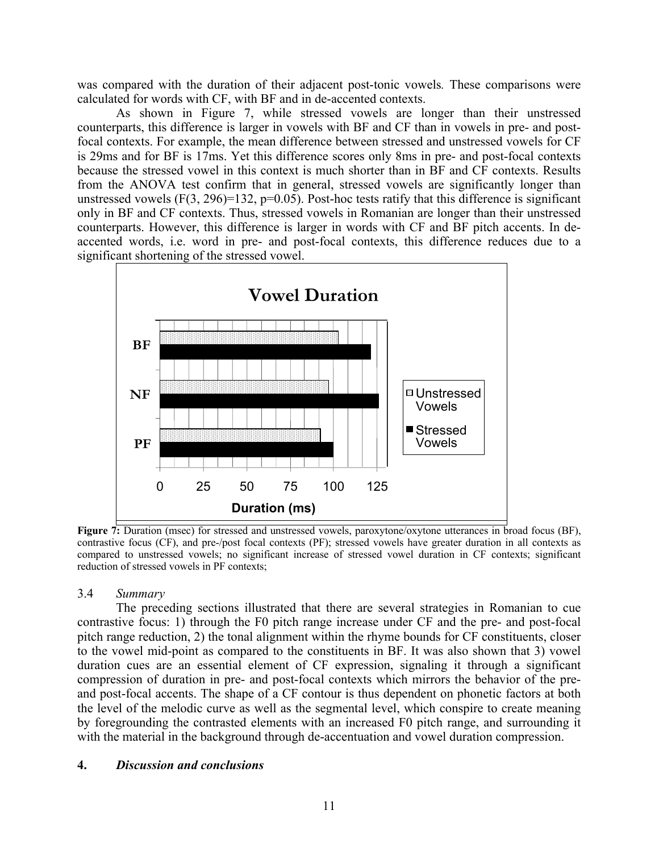was compared with the duration of their adjacent post-tonic vowels*.* These comparisons were calculated for words with CF, with BF and in de-accented contexts.

As shown in Figure 7, while stressed vowels are longer than their unstressed counterparts, this difference is larger in vowels with BF and CF than in vowels in pre- and postfocal contexts. For example, the mean difference between stressed and unstressed vowels for CF is 29ms and for BF is 17ms. Yet this difference scores only 8ms in pre- and post-focal contexts because the stressed vowel in this context is much shorter than in BF and CF contexts. Results from the ANOVA test confirm that in general, stressed vowels are significantly longer than unstressed vowels  $(F(3, 296)=132, p=0.05)$ . Post-hoc tests ratify that this difference is significant only in BF and CF contexts. Thus, stressed vowels in Romanian are longer than their unstressed counterparts. However, this difference is larger in words with CF and BF pitch accents. In deaccented words, i.e. word in pre- and post-focal contexts, this difference reduces due to a significant shortening of the stressed vowel.



**Figure 7:** Duration (msec) for stressed and unstressed vowels, paroxytone/oxytone utterances in broad focus (BF), contrastive focus (CF), and pre-/post focal contexts (PF); stressed vowels have greater duration in all contexts as compared to unstressed vowels; no significant increase of stressed vowel duration in CF contexts; significant reduction of stressed vowels in PF contexts;

# 3.4 *Summary*

The preceding sections illustrated that there are several strategies in Romanian to cue contrastive focus: 1) through the F0 pitch range increase under CF and the pre- and post-focal pitch range reduction, 2) the tonal alignment within the rhyme bounds for CF constituents, closer to the vowel mid-point as compared to the constituents in BF. It was also shown that 3) vowel duration cues are an essential element of CF expression, signaling it through a significant compression of duration in pre- and post-focal contexts which mirrors the behavior of the preand post-focal accents. The shape of a CF contour is thus dependent on phonetic factors at both the level of the melodic curve as well as the segmental level, which conspire to create meaning by foregrounding the contrasted elements with an increased F0 pitch range, and surrounding it with the material in the background through de-accentuation and vowel duration compression.

# **4.** *Discussion and conclusions*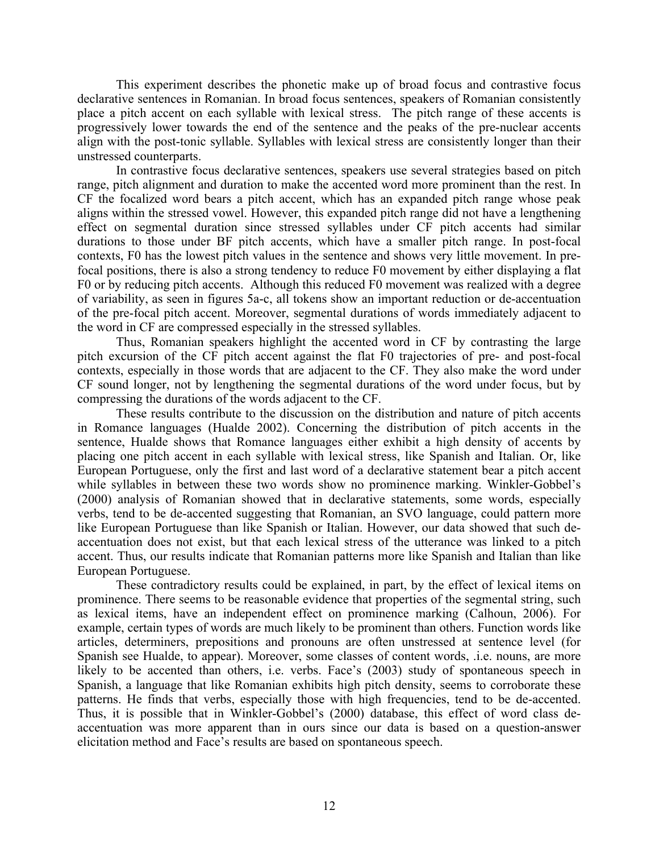This experiment describes the phonetic make up of broad focus and contrastive focus declarative sentences in Romanian. In broad focus sentences, speakers of Romanian consistently place a pitch accent on each syllable with lexical stress. The pitch range of these accents is progressively lower towards the end of the sentence and the peaks of the pre-nuclear accents align with the post-tonic syllable. Syllables with lexical stress are consistently longer than their unstressed counterparts.

In contrastive focus declarative sentences, speakers use several strategies based on pitch range, pitch alignment and duration to make the accented word more prominent than the rest. In CF the focalized word bears a pitch accent, which has an expanded pitch range whose peak aligns within the stressed vowel. However, this expanded pitch range did not have a lengthening effect on segmental duration since stressed syllables under CF pitch accents had similar durations to those under BF pitch accents, which have a smaller pitch range. In post-focal contexts, F0 has the lowest pitch values in the sentence and shows very little movement. In prefocal positions, there is also a strong tendency to reduce F0 movement by either displaying a flat F0 or by reducing pitch accents. Although this reduced F0 movement was realized with a degree of variability, as seen in figures 5a-c, all tokens show an important reduction or de-accentuation of the pre-focal pitch accent. Moreover, segmental durations of words immediately adjacent to the word in CF are compressed especially in the stressed syllables.

Thus, Romanian speakers highlight the accented word in CF by contrasting the large pitch excursion of the CF pitch accent against the flat F0 trajectories of pre- and post-focal contexts, especially in those words that are adjacent to the CF. They also make the word under CF sound longer, not by lengthening the segmental durations of the word under focus, but by compressing the durations of the words adjacent to the CF.

These results contribute to the discussion on the distribution and nature of pitch accents in Romance languages (Hualde 2002). Concerning the distribution of pitch accents in the sentence, Hualde shows that Romance languages either exhibit a high density of accents by placing one pitch accent in each syllable with lexical stress, like Spanish and Italian. Or, like European Portuguese, only the first and last word of a declarative statement bear a pitch accent while syllables in between these two words show no prominence marking. Winkler-Gobbel's (2000) analysis of Romanian showed that in declarative statements, some words, especially verbs, tend to be de-accented suggesting that Romanian, an SVO language, could pattern more like European Portuguese than like Spanish or Italian. However, our data showed that such deaccentuation does not exist, but that each lexical stress of the utterance was linked to a pitch accent. Thus, our results indicate that Romanian patterns more like Spanish and Italian than like European Portuguese.

These contradictory results could be explained, in part, by the effect of lexical items on prominence. There seems to be reasonable evidence that properties of the segmental string, such as lexical items, have an independent effect on prominence marking (Calhoun, 2006). For example, certain types of words are much likely to be prominent than others. Function words like articles, determiners, prepositions and pronouns are often unstressed at sentence level (for Spanish see Hualde, to appear). Moreover, some classes of content words, .i.e. nouns, are more likely to be accented than others, i.e. verbs. Face's (2003) study of spontaneous speech in Spanish, a language that like Romanian exhibits high pitch density, seems to corroborate these patterns. He finds that verbs, especially those with high frequencies, tend to be de-accented. Thus, it is possible that in Winkler-Gobbel's (2000) database, this effect of word class deaccentuation was more apparent than in ours since our data is based on a question-answer elicitation method and Face's results are based on spontaneous speech.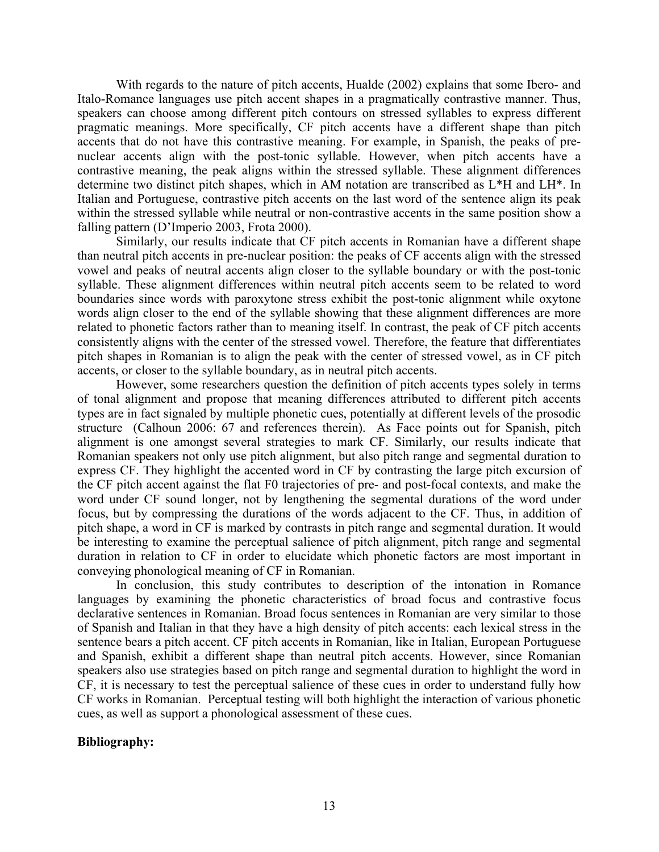With regards to the nature of pitch accents, Hualde (2002) explains that some Ibero- and Italo-Romance languages use pitch accent shapes in a pragmatically contrastive manner. Thus, speakers can choose among different pitch contours on stressed syllables to express different pragmatic meanings. More specifically, CF pitch accents have a different shape than pitch accents that do not have this contrastive meaning. For example, in Spanish, the peaks of prenuclear accents align with the post-tonic syllable. However, when pitch accents have a contrastive meaning, the peak aligns within the stressed syllable. These alignment differences determine two distinct pitch shapes, which in AM notation are transcribed as L\*H and LH\*. In Italian and Portuguese, contrastive pitch accents on the last word of the sentence align its peak within the stressed syllable while neutral or non-contrastive accents in the same position show a falling pattern (D'Imperio 2003, Frota 2000).

Similarly, our results indicate that CF pitch accents in Romanian have a different shape than neutral pitch accents in pre-nuclear position: the peaks of CF accents align with the stressed vowel and peaks of neutral accents align closer to the syllable boundary or with the post-tonic syllable. These alignment differences within neutral pitch accents seem to be related to word boundaries since words with paroxytone stress exhibit the post-tonic alignment while oxytone words align closer to the end of the syllable showing that these alignment differences are more related to phonetic factors rather than to meaning itself. In contrast, the peak of CF pitch accents consistently aligns with the center of the stressed vowel. Therefore, the feature that differentiates pitch shapes in Romanian is to align the peak with the center of stressed vowel, as in CF pitch accents, or closer to the syllable boundary, as in neutral pitch accents.

However, some researchers question the definition of pitch accents types solely in terms of tonal alignment and propose that meaning differences attributed to different pitch accents types are in fact signaled by multiple phonetic cues, potentially at different levels of the prosodic structure (Calhoun 2006: 67 and references therein). As Face points out for Spanish, pitch alignment is one amongst several strategies to mark CF. Similarly, our results indicate that Romanian speakers not only use pitch alignment, but also pitch range and segmental duration to express CF. They highlight the accented word in CF by contrasting the large pitch excursion of the CF pitch accent against the flat F0 trajectories of pre- and post-focal contexts, and make the word under CF sound longer, not by lengthening the segmental durations of the word under focus, but by compressing the durations of the words adjacent to the CF. Thus, in addition of pitch shape, a word in CF is marked by contrasts in pitch range and segmental duration. It would be interesting to examine the perceptual salience of pitch alignment, pitch range and segmental duration in relation to CF in order to elucidate which phonetic factors are most important in conveying phonological meaning of CF in Romanian.

In conclusion, this study contributes to description of the intonation in Romance languages by examining the phonetic characteristics of broad focus and contrastive focus declarative sentences in Romanian. Broad focus sentences in Romanian are very similar to those of Spanish and Italian in that they have a high density of pitch accents: each lexical stress in the sentence bears a pitch accent. CF pitch accents in Romanian, like in Italian, European Portuguese and Spanish, exhibit a different shape than neutral pitch accents. However, since Romanian speakers also use strategies based on pitch range and segmental duration to highlight the word in CF, it is necessary to test the perceptual salience of these cues in order to understand fully how CF works in Romanian. Perceptual testing will both highlight the interaction of various phonetic cues, as well as support a phonological assessment of these cues.

# **Bibliography:**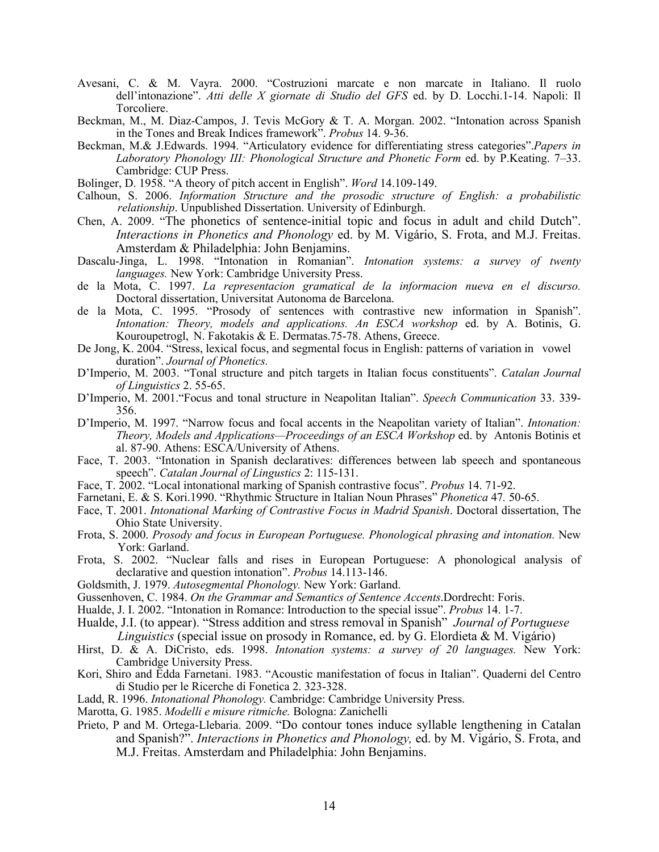- Avesani, C. & M. Vayra. 2000. "Costruzioni marcate e non marcate in Italiano. Il ruolo dell'intonazione". *Atti delle X giornate di Studio del GFS* ed. by D. Locchi.1-14. Napoli: Il Torcoliere.
- Beckman, M., M. Diaz-Campos, J. Tevis McGory & T. A. Morgan. 2002. "Intonation across Spanish in the Tones and Break Indices framework". *Probus* 14. 9-36.
- Beckman, M.& J.Edwards. 1994. "Articulatory evidence for differentiating stress categories".*Papers in Laboratory Phonology III: Phonological Structure and Phonetic Form* ed. by P.Keating. 7–33. Cambridge: CUP Press.
- Bolinger, D. 1958. "A theory of pitch accent in English". *Word* 14.109-149.
- Calhoun, S. 2006. *Information Structure and the prosodic structure of English: a probabilistic relationship*. Unpublished Dissertation. University of Edinburgh.
- Chen, A. 2009. "The phonetics of sentence-initial topic and focus in adult and child Dutch". *Interactions in Phonetics and Phonology* ed. by M. Vigário, S. Frota, and M.J. Freitas. Amsterdam & Philadelphia: John Benjamins.
- Dascalu-Jinga, L. 1998. "Intonation in Romanian". *Intonation systems: a survey of twenty languages.* New York: Cambridge University Press.
- de la Mota, C. 1997. *La representacion gramatical de la informacion nueva en el discurso.*  Doctoral dissertation, Universitat Autonoma de Barcelona.
- de la Mota, C. 1995. "Prosody of sentences with contrastive new information in Spanish". *Intonation: Theory, models and applications. An ESCA workshop* ed. by A. Botinis, G. Kouroupetrogl, N. Fakotakis & E. Dermatas.75-78. Athens, Greece.
- De Jong, K. 2004. "Stress, lexical focus, and segmental focus in English: patterns of variation in vowel duration". *Journal of Phonetics.*
- D'Imperio, M. 2003. "Tonal structure and pitch targets in Italian focus constituents". *Catalan Journal of Linguistics* 2. 55-65.
- D'Imperio, M. 2001."Focus and tonal structure in Neapolitan Italian". *Speech Communication* 33. 339- 356.
- D'Imperio, M. 1997. "Narrow focus and focal accents in the Neapolitan variety of Italian". *Intonation: Theory, Models and Applications—Proceedings of an ESCA Workshop* ed. by Antonis Botinis et al. 87-90. Athens: ESCA/University of Athens.
- Face, T. 2003. "Intonation in Spanish declaratives: differences between lab speech and spontaneous speech". *Catalan Journal of Lingustics* 2: 115-131.
- Face, T. 2002. "Local intonational marking of Spanish contrastive focus". *Probus* 14. 71-92.
- Farnetani, E. & S. Kori.1990. "Rhythmic Structure in Italian Noun Phrases" *Phonetica* 47*.* 50-65.
- Face, T. 2001. *Intonational Marking of Contrastive Focus in Madrid Spanish*. Doctoral dissertation, The Ohio State University.
- Frota, S. 2000. *Prosody and focus in European Portuguese. Phonological phrasing and intonation.* New York: Garland.
- Frota, S. 2002. "Nuclear falls and rises in European Portuguese: A phonological analysis of declarative and question intonation". *Probus* 14.113-146.
- Goldsmith, J. 1979. *Autosegmental Phonology.* New York: Garland.
- Gussenhoven, C. 1984. *On the Grammar and Semantics of Sentence Accents*.Dordrecht: Foris.
- Hualde, J. I. 2002. "Intonation in Romance: Introduction to the special issue". *Probus* 14. 1-7.
- Hualde, J.I. (to appear). "Stress addition and stress removal in Spanish" *Journal of Portuguese Linguistics* (special issue on prosody in Romance, ed. by G. Elordieta & M. Vigário)
- Hirst, D. & A. DiCristo, eds. 1998. *Intonation systems: a survey of 20 languages.* New York: Cambridge University Press.
- Kori, Shiro and Edda Farnetani. 1983. "Acoustic manifestation of focus in Italian". Quaderni del Centro di Studio per le Ricerche di Fonetica 2. 323-328.
- Ladd, R. 1996. *Intonational Phonology.* Cambridge: Cambridge University Press.
- Marotta, G. 1985. *Modelli e misure ritmiche.* Bologna: Zanichelli
- Prieto, P and M. Ortega-Llebaria. 2009. "Do contour tones induce syllable lengthening in Catalan and Spanish?". *Interactions in Phonetics and Phonology,* ed. by M. Vigário, S. Frota, and M.J. Freitas. Amsterdam and Philadelphia: John Benjamins.